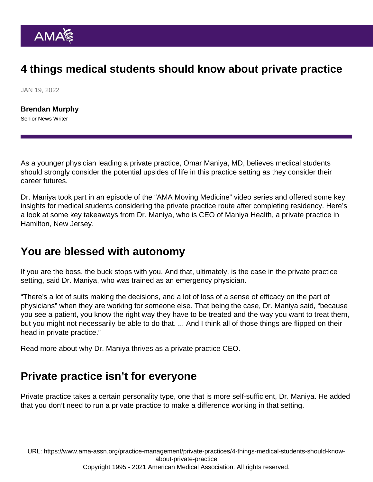## 4 things medical students should know about private practice

JAN 19, 2022

[Brendan Murphy](https://www.ama-assn.org/news-leadership-viewpoints/authors-news-leadership-viewpoints/brendan-murphy) Senior News Writer

As a younger physician leading a private practice, Omar Maniya, MD, believes medical students should strongly consider the potential upsides of life in this practice setting as they consider their career futures.

Dr. Maniya [took part in an episode](https://www.ama-assn.org/practice-management/private-practices/omar-maniya-md-mba-med-students-eyeing-career-private) of the ["AMA Moving Medicine"](https://www.ama-assn.org/series/moving-medicine-video-update) video series and offered some key insights for medical students considering the private practice route after completing residency. Here's a look at some key takeaways from Dr. Maniya, who is CEO of Maniya Health, a private practice in Hamilton, New Jersey.

#### You are blessed with autonomy

If you are the boss, the buck stops with you. And that, ultimately, is the case in the private practice setting, said Dr. Maniya, who was trained as an emergency physician.

"There's a lot of suits making the decisions, and a lot of loss of a sense of efficacy on the part of physicians" when they are working for someone else. That being the case, Dr. Maniya said, "because you see a patient, you know the right way they have to be treated and the way you want to treat them, but you might not necessarily be able to do that. ... And I think all of those things are flipped on their head in private practice."

Read more about [why Dr. Maniya thrives as a private practice CEO](https://www.ama-assn.org/practice-management/private-practices/why-emergency-doctor-thrives-private-practice-ceo).

#### Private practice isn't for everyone

Private practice takes a certain personality type, one that is more self-sufficient, Dr. Maniya. He added that you don't need to run a private practice to make a difference working in that setting.

URL: [https://www.ama-assn.org/practice-management/private-practices/4-things-medical-students-should-know](https://www.ama-assn.org/practice-management/private-practices/4-things-medical-students-should-know-about-private-practice)[about-private-practice](https://www.ama-assn.org/practice-management/private-practices/4-things-medical-students-should-know-about-private-practice)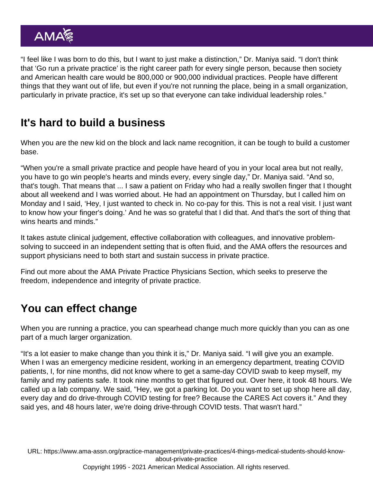"I feel like I was born to do this, but I want to just make a distinction," Dr. Maniya said. "I don't think that 'Go run a private practice' is the right career path for every single person, because then society and American health care would be 800,000 or 900,000 individual practices. People have different things that they want out of life, but even if you're not running the place, being in a small organization, particularly in private practice, it's set up so that everyone can take individual leadership roles."

## It's hard to build a business

When you are the new kid on the block and lack name recognition, it can be tough to build a customer base.

"When you're a small private practice and people have heard of you in your local area but not really, you have to go win people's hearts and minds every, every single day," Dr. Maniya said. "And so, that's tough. That means that ... I saw a patient on Friday who had a really swollen finger that I thought about all weekend and I was worried about. He had an appointment on Thursday, but I called him on Monday and I said, 'Hey, I just wanted to check in. No co-pay for this. This is not a real visit. I just want to know how your finger's doing.' And he was so grateful that I did that. And that's the sort of thing that wins hearts and minds."

It takes astute clinical judgement, effective collaboration with colleagues, and innovative problemsolving to succeed in an independent setting that is often fluid, and the [AMA offers the resources and](https://www.ama-assn.org/practice-management/private-practices/ama-private-practice-sustainability) [support physicians need](https://www.ama-assn.org/practice-management/private-practices/ama-private-practice-sustainability) to both start and sustain success in private practice.

Find out more about the [AMA Private Practice Physicians Section](https://www.ama-assn.org/member-groups-sections/private-practice-physicians/about-private-practice-physicians-section-ppps), which seeks to preserve the freedom, independence and integrity of private practice.

# You can effect change

When you are running a practice, you can spearhead change much more quickly than you can as one part of a much larger organization.

"It's a lot easier to make change than you think it is," Dr. Maniya said. "I will give you an example. When I was an emergency medicine resident, working in an emergency department, treating COVID patients, I, for nine months, did not know where to get a same-day COVID swab to keep myself, my family and my patients safe. It took nine months to get that figured out. Over here, it took 48 hours. We called up a lab company. We said, "Hey, we got a parking lot. Do you want to set up shop here all day, every day and do drive-through COVID testing for free? Because the CARES Act covers it." And they said yes, and 48 hours later, we're doing drive-through COVID tests. That wasn't hard."

URL: [https://www.ama-assn.org/practice-management/private-practices/4-things-medical-students-should-know](https://www.ama-assn.org/practice-management/private-practices/4-things-medical-students-should-know-about-private-practice)[about-private-practice](https://www.ama-assn.org/practice-management/private-practices/4-things-medical-students-should-know-about-private-practice) Copyright 1995 - 2021 American Medical Association. All rights reserved.